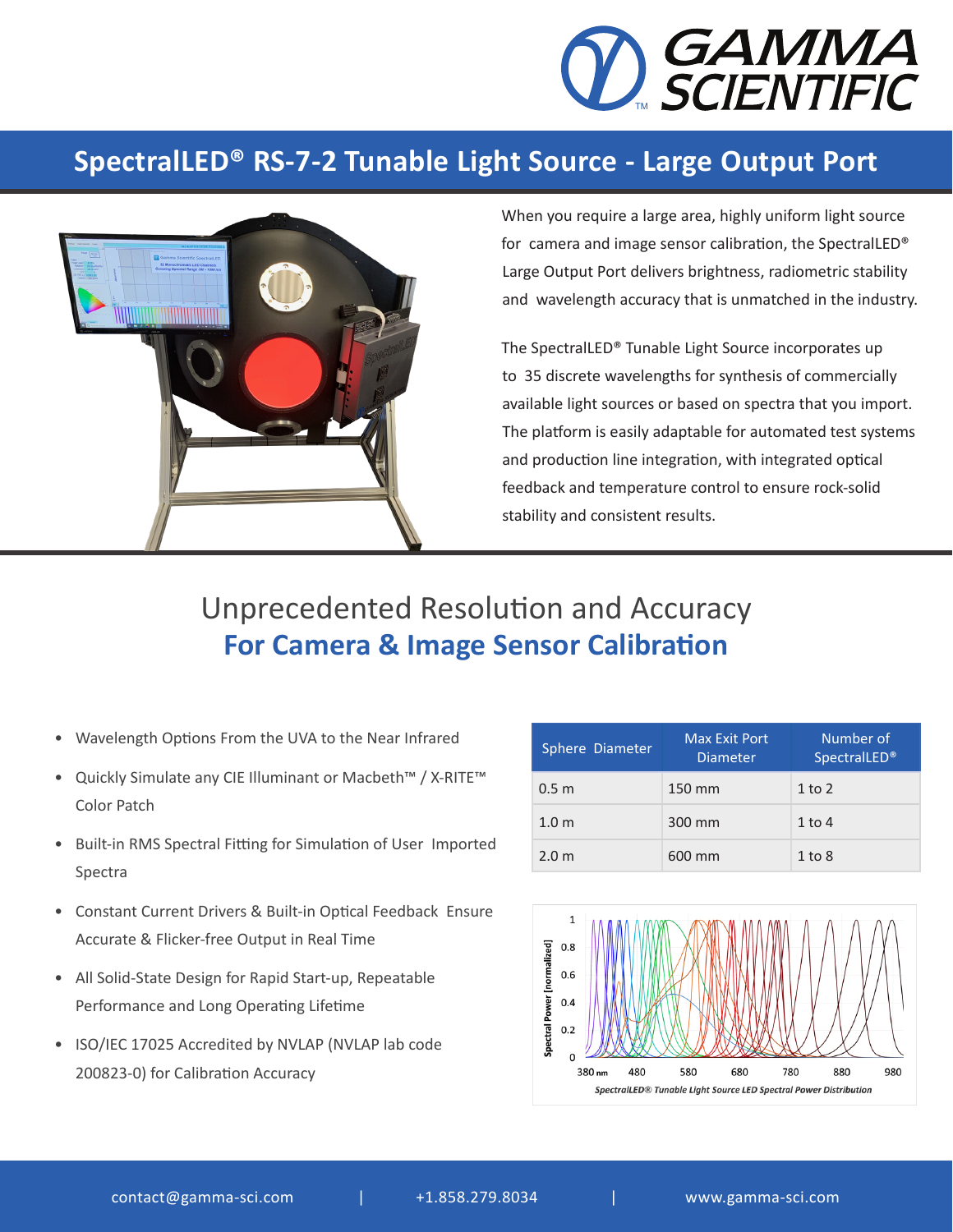

## **SpectralLED® RS-7-2 Tunable Light Source - Large Output Port**



When you require a large area, highly uniform light source for camera and image sensor calibration, the SpectralLED® Large Output Port delivers brightness, radiometric stability and wavelength accuracy that is unmatched in the industry.

The SpectralLED® Tunable Light Source incorporates up to 35 discrete wavelengths for synthesis of commercially available light sources or based on spectra that you import. The platform is easily adaptable for automated test systems and production line integration, with integrated optical feedback and temperature control to ensure rock-solid stability and consistent results.

## Unprecedented Resolution and Accuracy **For Camera & Image Sensor Calibration**

- Wavelength Options From the UVA to the Near Infrared
- Quickly Simulate any CIE Illuminant or Macbeth™ / X-RITE™ Color Patch
- Built-in RMS Spectral Fitting for Simulation of User Imported Spectra
- Constant Current Drivers & Built-in Optical Feedback Ensure Accurate & Flicker-free Output in Real Time
- All Solid-State Design for Rapid Start-up, Repeatable Performance and Long Operating Lifetime
- ISO/IEC 17025 Accredited by NVLAP (NVLAP lab code 200823-0) for Calibration Accuracy

| Sphere Diameter  | Max Exit Port<br><b>Diameter</b> | Number of<br><b>SpectralLED®</b> |
|------------------|----------------------------------|----------------------------------|
| 0.5 <sub>m</sub> | 150 mm                           | $1$ to $2$                       |
| 1.0 <sub>m</sub> | 300 mm                           | $1$ to $4$                       |
| 2.0 <sub>m</sub> | 600 mm                           | $1$ to $8$                       |